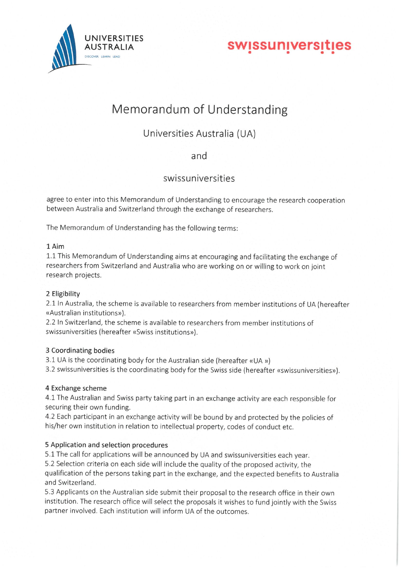

AUSTRALIA SWISSUNIVERSITIES

# Memorandum of Understanding

Universities Australia (UA)

and

swissuniversitles

agree to enter into this Memorandum of Understanding to encourage the research cooperation between Australia and Switzerland through the exchange of researchers.

The Memorandum of Understanding has the following terms:

### 1 Aim

1. 1 This Memorandum of Understanding aims at encouraging and facilitating the exchange of researchers from Switzerland and Australia who are working on or willing to work on joint research projects.

### 2 Eligibility

2.1 In Australia, the scheme is available to researchers from member institutions of UA (hereafter «Australian institutions»).

2. 2 In Switzerland, the scheme is available to researchers from member institutions of swissuniversities (hereafter «Swiss institutions»).

### 3 Coordinating bodies

- 3.1 UA is the coordinating body for the Australian side (hereafter «UA »)
- 3. 2 swissuniversities is the coordinating body for the Swiss side (hereafter «swissuniversities»).

## 4 Exchange scheme

4. 1 The Australian and Swiss party taking part in an exchange activity are each responsible for securing their own funding.

4. 2 Each participant in an exchange activity will be bound by and protected by the policies of his/her own institution in relation to intellectual property, codes of conduct etc.

## 5 Application and selection procedures

5. 1 The call for applications will be announced by UA and swissuniversities each year.

5. 2 Selection criteria on each side will include the quality of the proposed activity, the qualification of the persons taking part in the exchange, and the expected benefits to Australia and Switzerland.

5. 3 Applicants on the Australian side submit their proposal to the research office in their own institution. The research office will select the proposals it wishes to fund jointly with the Swiss partner involved. Each institution will inform UA of the outcomes.